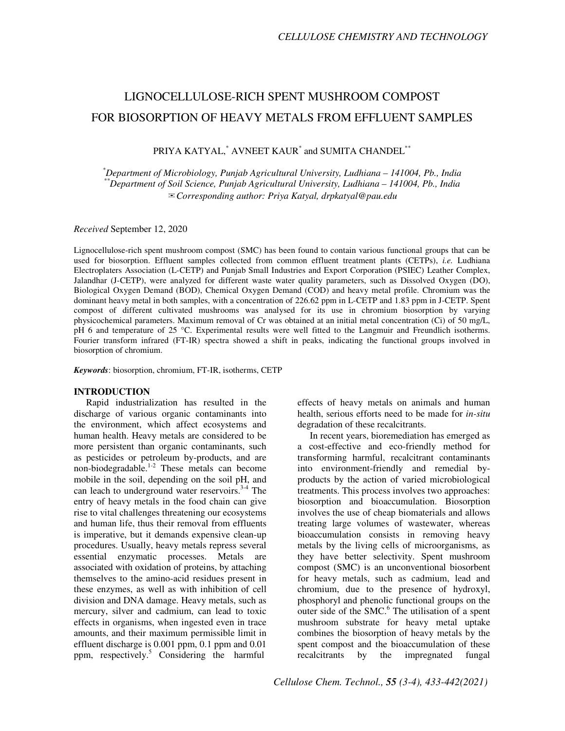# LIGNOCELLULOSE-RICH SPENT MUSHROOM COMPOST FOR BIOSORPTION OF HEAVY METALS FROM EFFLUENT SAMPLES

PRIYA KATYAL,\* AVNEET KAUR\* and SUMITA CHANDEL\*\*

*\*Department of Microbiology, Punjab Agricultural University, Ludhiana – 141004, Pb., India \*\*Department of Soil Science, Punjab Agricultural University, Ludhiana – 141004, Pb., India*  ✉*Corresponding author: Priya Katyal, drpkatyal@pau.edu* 

*Received* September 12, 2020

Lignocellulose-rich spent mushroom compost (SMC) has been found to contain various functional groups that can be used for biosorption. Effluent samples collected from common effluent treatment plants (CETPs), *i.e.* Ludhiana Electroplaters Association (L-CETP) and Punjab Small Industries and Export Corporation (PSIEC) Leather Complex, Jalandhar (J-CETP), were analyzed for different waste water quality parameters, such as Dissolved Oxygen (DO), Biological Oxygen Demand (BOD), Chemical Oxygen Demand (COD) and heavy metal profile. Chromium was the dominant heavy metal in both samples, with a concentration of 226.62 ppm in L-CETP and 1.83 ppm in J-CETP. Spent compost of different cultivated mushrooms was analysed for its use in chromium biosorption by varying physicochemical parameters. Maximum removal of Cr was obtained at an initial metal concentration (Ci) of 50 mg/L, pH 6 and temperature of 25 °C. Experimental results were well fitted to the Langmuir and Freundlich isotherms. Fourier transform infrared (FT-IR) spectra showed a shift in peaks, indicating the functional groups involved in biosorption of chromium.

*Keywords*: biosorption, chromium, FT-IR, isotherms, CETP

#### **INTRODUCTION**

Rapid industrialization has resulted in the discharge of various organic contaminants into the environment, which affect ecosystems and human health. Heavy metals are considered to be more persistent than organic contaminants, such as pesticides or petroleum by-products, and are non-biodegradable.<sup>1-2</sup> These metals can become mobile in the soil, depending on the soil pH, and can leach to underground water reservoirs. $3-4$  The entry of heavy metals in the food chain can give rise to vital challenges threatening our ecosystems and human life, thus their removal from effluents is imperative, but it demands expensive clean-up procedures. Usually, heavy metals repress several essential enzymatic processes. Metals are associated with oxidation of proteins, by attaching themselves to the amino-acid residues present in these enzymes, as well as with inhibition of cell division and DNA damage. Heavy metals, such as mercury, silver and cadmium, can lead to toxic effects in organisms, when ingested even in trace amounts, and their maximum permissible limit in effluent discharge is 0.001 ppm, 0.1 ppm and 0.01 ppm, respectively.<sup>5</sup> Considering the harmful

effects of heavy metals on animals and human health, serious efforts need to be made for *in-situ* degradation of these recalcitrants.

In recent years, bioremediation has emerged as a cost-effective and eco-friendly method for transforming harmful, recalcitrant contaminants into environment-friendly and remedial byproducts by the action of varied microbiological treatments. This process involves two approaches: biosorption and bioaccumulation. Biosorption involves the use of cheap biomaterials and allows treating large volumes of wastewater, whereas bioaccumulation consists in removing heavy metals by the living cells of microorganisms, as they have better selectivity. Spent mushroom compost (SMC) is an unconventional biosorbent for heavy metals, such as cadmium, lead and chromium, due to the presence of hydroxyl, phosphoryl and phenolic functional groups on the outer side of the SMC.<sup>6</sup> The utilisation of a spent mushroom substrate for heavy metal uptake combines the biosorption of heavy metals by the spent compost and the bioaccumulation of these recalcitrants by the impregnated fungal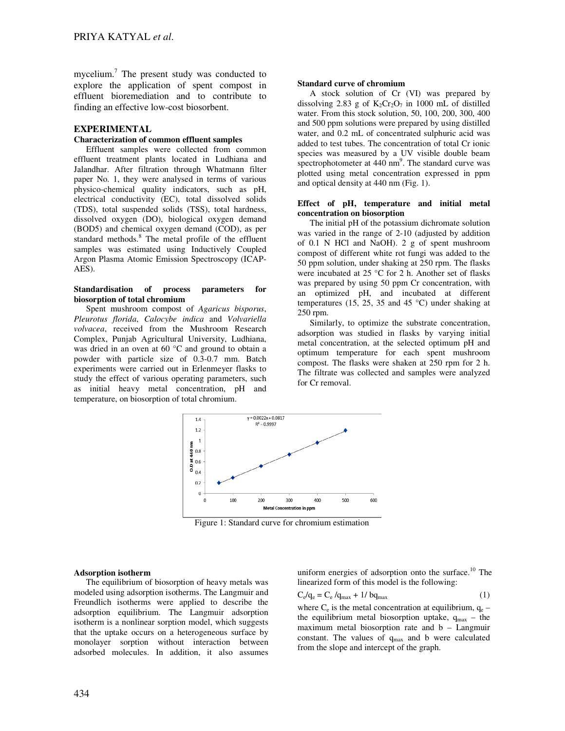mycelium.<sup>7</sup> The present study was conducted to explore the application of spent compost in effluent bioremediation and to contribute to finding an effective low-cost biosorbent.

## **EXPERIMENTAL**

#### **Characterization of common effluent samples**

Effluent samples were collected from common effluent treatment plants located in Ludhiana and Jalandhar. After filtration through Whatmann filter paper No. 1, they were analysed in terms of various physico-chemical quality indicators, such as pH, electrical conductivity (EC), total dissolved solids (TDS), total suspended solids (TSS), total hardness, dissolved oxygen (DO), biological oxygen demand (BOD5) and chemical oxygen demand (COD), as per standard methods.<sup>8</sup> The metal profile of the effluent samples was estimated using Inductively Coupled Argon Plasma Atomic Emission Spectroscopy (ICAP-AES).

#### **Standardisation of process parameters for biosorption of total chromium**

Spent mushroom compost of *Agaricus bisporus*, *Pleurotus florida*, *Calocybe indica* and *Volvariella volvacea*, received from the Mushroom Research Complex, Punjab Agricultural University, Ludhiana, was dried in an oven at 60 °C and ground to obtain a powder with particle size of 0.3-0.7 mm. Batch experiments were carried out in Erlenmeyer flasks to study the effect of various operating parameters, such as initial heavy metal concentration, pH and temperature, on biosorption of total chromium.

#### **Standard curve of chromium**

A stock solution of Cr (VI) was prepared by dissolving 2.83 g of  $K_2Cr_2O_7$  in 1000 mL of distilled water. From this stock solution, 50, 100, 200, 300, 400 and 500 ppm solutions were prepared by using distilled water, and 0.2 mL of concentrated sulphuric acid was added to test tubes. The concentration of total Cr ionic species was measured by a UV visible double beam spectrophotometer at  $440 \text{ nm}^9$ . The standard curve was plotted using metal concentration expressed in ppm and optical density at 440 nm (Fig. 1).

## **Effect of pH, temperature and initial metal concentration on biosorption**

The initial pH of the potassium dichromate solution was varied in the range of 2-10 (adjusted by addition of 0.1 N HCl and NaOH). 2 g of spent mushroom compost of different white rot fungi was added to the 50 ppm solution, under shaking at 250 rpm. The flasks were incubated at 25 °C for 2 h. Another set of flasks was prepared by using 50 ppm Cr concentration, with an optimized pH, and incubated at different temperatures (15, 25, 35 and 45  $^{\circ}$ C) under shaking at 250 rpm.

Similarly, to optimize the substrate concentration, adsorption was studied in flasks by varying initial metal concentration, at the selected optimum pH and optimum temperature for each spent mushroom compost. The flasks were shaken at 250 rpm for 2 h. The filtrate was collected and samples were analyzed for Cr removal.



Figure 1: Standard curve for chromium estimation

#### **Adsorption isotherm**

The equilibrium of biosorption of heavy metals was modeled using adsorption isotherms. The Langmuir and Freundlich isotherms were applied to describe the adsorption equilibrium. The Langmuir adsorption isotherm is a nonlinear sorption model, which suggests that the uptake occurs on a heterogeneous surface by monolayer sorption without interaction between adsorbed molecules. In addition, it also assumes uniform energies of adsorption onto the surface.<sup>10</sup> The linearized form of this model is the following:

$$
C_e/q_e = C_e / q_{max} + 1 / b q_{max}
$$
 (1)

where  $C_e$  is the metal concentration at equilibrium,  $q_e$  – the equilibrium metal biosorption uptake,  $q_{max}$  – the maximum metal biosorption rate and b – Langmuir constant. The values of  $q_{max}$  and b were calculated from the slope and intercept of the graph.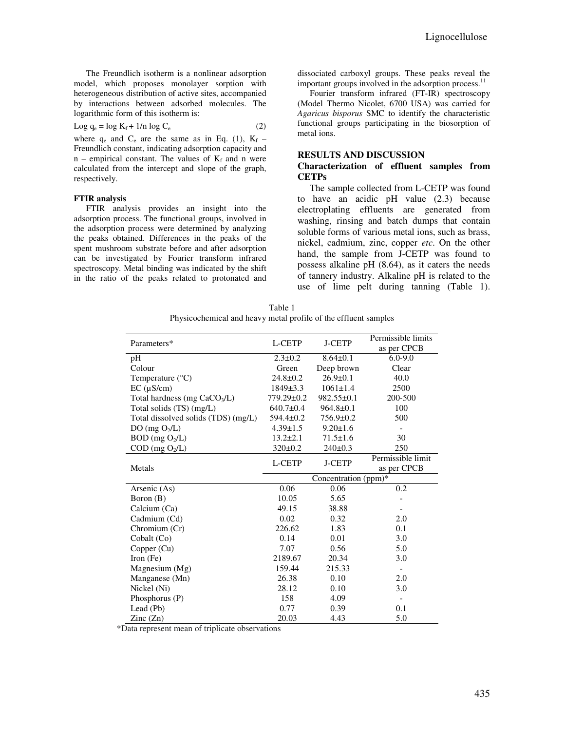The Freundlich isotherm is a nonlinear adsorption model, which proposes monolayer sorption with heterogeneous distribution of active sites, accompanied by interactions between adsorbed molecules. The logarithmic form of this isotherm is:

$$
Log q_e = log K_f + 1/n log C_e
$$
 (2)

where  $q_e$  and  $C_e$  are the same as in Eq. (1),  $K_f$  – Freundlich constant, indicating adsorption capacity and  $n$  – empirical constant. The values of  $K_f$  and n were calculated from the intercept and slope of the graph, respectively.

#### **FTIR analysis**

FTIR analysis provides an insight into the adsorption process. The functional groups, involved in the adsorption process were determined by analyzing the peaks obtained. Differences in the peaks of the spent mushroom substrate before and after adsorption can be investigated by Fourier transform infrared spectroscopy. Metal binding was indicated by the shift in the ratio of the peaks related to protonated and

dissociated carboxyl groups. These peaks reveal the important groups involved in the adsorption process.<sup>11</sup>

Fourier transform infrared (FT-IR) spectroscopy (Model Thermo Nicolet, 6700 USA) was carried for *Agaricus bisporus* SMC to identify the characteristic functional groups participating in the biosorption of metal ions.

#### **RESULTS AND DISCUSSION**

#### **Characterization of effluent samples from CETPs**

The sample collected from L-CETP was found to have an acidic pH value (2.3) because electroplating effluents are generated from washing, rinsing and batch dumps that contain soluble forms of various metal ions, such as brass, nickel, cadmium, zinc, copper *etc*. On the other hand, the sample from J-CETP was found to possess alkaline pH (8.64), as it caters the needs of tannery industry. Alkaline pH is related to the use of lime pelt during tanning (Table 1).

| Table 1                                                         |
|-----------------------------------------------------------------|
| Physicochemical and heavy metal profile of the effluent samples |

| Parameters*                              | L-CETP               | <b>J-CETP</b>    | Permissible limits<br>as per CPCB |
|------------------------------------------|----------------------|------------------|-----------------------------------|
| pH                                       | $2.3 \pm 0.2$        | $8.64 \pm 0.1$   | $6.0 - 9.0$                       |
| Colour                                   | Green                | Deep brown       | Clear                             |
| Temperature $(^{\circ}C)$                | $24.8 \pm 0.2$       | $26.9 \pm 0.1$   | 40.0                              |
| $EC$ ( $\mu$ S/cm)                       | $1849 \pm 3.3$       | $1061 \pm 1.4$   | 2500                              |
| Total hardness (mg CaCO <sub>3</sub> /L) | 779.29±0.2           | $982.55 \pm 0.1$ | 200-500                           |
| Total solids (TS) (mg/L)                 | $640.7 \pm 0.4$      | $964.8 \pm 0.1$  | 100                               |
| Total dissolved solids (TDS) (mg/L)      | $594.4 \pm 0.2$      | 756.9±0.2        | 500                               |
| DO (mg $O_2/L$ )                         | $4.39 \pm 1.5$       | $9.20 \pm 1.6$   |                                   |
| $BOD$ (mg $O2/L$ )                       | $13.2 \pm 2.1$       | $71.5 \pm 1.6$   | 30                                |
| $COD$ (mg $O_2/L$ )                      | $320 \pm 0.2$        | $240 \pm 0.3$    | 250                               |
| Metals                                   | L-CETP               | <b>J-CETP</b>    | Permissible limit                 |
|                                          |                      |                  | as per CPCB                       |
|                                          | Concentration (ppm)* |                  |                                   |
| Arsenic (As)                             | 0.06                 | 0.06             | 0.2                               |
| Boron (B)                                | 10.05                | 5.65             |                                   |
| Calcium (Ca)                             | 49.15                | 38.88            |                                   |
| Cadmium (Cd)                             | 0.02                 | 0.32             | 2.0                               |
| Chromium (Cr)                            | 226.62               | 1.83             | 0.1                               |
| Cobalt (Co)                              | 0.14                 | 0.01             | 3.0                               |
| Copper (Cu)                              | 7.07                 | 0.56             | 5.0                               |
| Iron $(Fe)$                              | 2189.67              | 20.34            | 3.0                               |
| Magnesium $(Mg)$                         | 159.44               | 215.33           |                                   |
| Manganese (Mn)                           | 26.38                | 0.10             | 2.0                               |
| Nickel (Ni)                              | 28.12                | 0.10             | 3.0                               |
| Phosphorus (P)                           | 158                  | 4.09             |                                   |
| Lead (Pb)                                | 0.77                 | 0.39             | 0.1                               |
| $\text{Zinc}(\text{Zn})$                 | 20.03                | 4.43             | 5.0                               |

\*Data represent mean of triplicate observations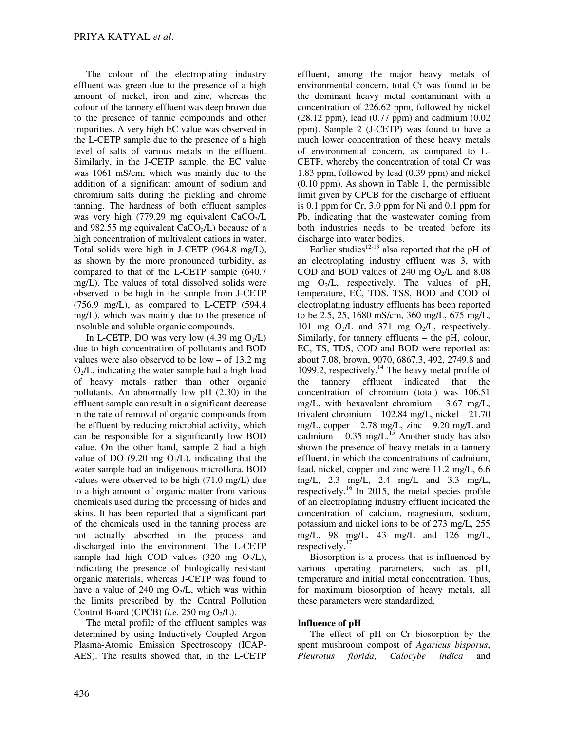The colour of the electroplating industry effluent was green due to the presence of a high amount of nickel, iron and zinc, whereas the colour of the tannery effluent was deep brown due to the presence of tannic compounds and other impurities. A very high EC value was observed in the L-CETP sample due to the presence of a high level of salts of various metals in the effluent. Similarly, in the J-CETP sample, the EC value was 1061 mS/cm, which was mainly due to the addition of a significant amount of sodium and chromium salts during the pickling and chrome tanning. The hardness of both effluent samples was very high (779.29 mg equivalent  $CaCO<sub>3</sub>/L$ and 982.55 mg equivalent  $CaCO<sub>3</sub>/L$ ) because of a high concentration of multivalent cations in water. Total solids were high in J-CETP (964.8 mg/L), as shown by the more pronounced turbidity, as compared to that of the L-CETP sample (640.7 mg/L). The values of total dissolved solids were observed to be high in the sample from J-CETP (756.9 mg/L), as compared to L-CETP (594.4 mg/L), which was mainly due to the presence of insoluble and soluble organic compounds.

In L-CETP, DO was very low  $(4.39 \text{ mg } O<sub>2</sub>/L)$ due to high concentration of pollutants and BOD values were also observed to be low – of 13.2 mg  $O<sub>2</sub>/L$ , indicating the water sample had a high load of heavy metals rather than other organic pollutants. An abnormally low pH (2.30) in the effluent sample can result in a significant decrease in the rate of removal of organic compounds from the effluent by reducing microbial activity, which can be responsible for a significantly low BOD value. On the other hand, sample 2 had a high value of DO (9.20 mg  $O<sub>2</sub>/L$ ), indicating that the water sample had an indigenous microflora. BOD values were observed to be high (71.0 mg/L) due to a high amount of organic matter from various chemicals used during the processing of hides and skins. It has been reported that a significant part of the chemicals used in the tanning process are not actually absorbed in the process and discharged into the environment. The L-CETP sample had high COD values (320 mg  $O<sub>2</sub>/L$ ), indicating the presence of biologically resistant organic materials, whereas J-CETP was found to have a value of 240 mg  $O<sub>2</sub>/L$ , which was within the limits prescribed by the Central Pollution Control Board (CPCB)  $(i.e. 250 \text{ mg } O<sub>2</sub>/L)$ .

The metal profile of the effluent samples was determined by using Inductively Coupled Argon Plasma-Atomic Emission Spectroscopy (ICAP-AES). The results showed that, in the L-CETP effluent, among the major heavy metals of environmental concern, total Cr was found to be the dominant heavy metal contaminant with a concentration of 226.62 ppm, followed by nickel  $(28.12 \text{ ppm})$ , lead  $(0.77 \text{ ppm})$  and cadmium  $(0.02 \text{ ppm})$ ppm). Sample 2 (J-CETP) was found to have a much lower concentration of these heavy metals of environmental concern, as compared to L-CETP, whereby the concentration of total Cr was 1.83 ppm, followed by lead (0.39 ppm) and nickel (0.10 ppm). As shown in Table 1, the permissible limit given by CPCB for the discharge of effluent is 0.1 ppm for Cr, 3.0 ppm for Ni and 0.1 ppm for Pb, indicating that the wastewater coming from both industries needs to be treated before its discharge into water bodies.

Earlier studies<sup>12-13</sup> also reported that the pH of an electroplating industry effluent was 3, with COD and BOD values of 240 mg  $O<sub>2</sub>/L$  and 8.08 mg  $O_2/L$ , respectively. The values of pH, temperature, EC, TDS, TSS, BOD and COD of electroplating industry effluents has been reported to be 2.5, 25, 1680 mS/cm, 360 mg/L, 675 mg/L, 101 mg  $O<sub>2</sub>/L$  and 371 mg  $O<sub>2</sub>/L$ , respectively. Similarly, for tannery effluents – the pH, colour, EC, TS, TDS, COD and BOD were reported as: about 7.08, brown, 9070, 6867.3, 492, 2749.8 and 1099.2, respectively.<sup>14</sup> The heavy metal profile of the tannery effluent indicated that the concentration of chromium (total) was 106.51 mg/L, with hexavalent chromium – 3.67 mg/L, trivalent chromium – 102.84 mg/L, nickel – 21.70 mg/L, copper  $-2.78$  mg/L, zinc  $-9.20$  mg/L and cadmium –  $0.35$  mg/L.<sup>15</sup> Another study has also shown the presence of heavy metals in a tannery effluent, in which the concentrations of cadmium, lead, nickel, copper and zinc were 11.2 mg/L, 6.6 mg/L, 2.3 mg/L, 2.4 mg/L and 3.3 mg/L, respectively.<sup>16</sup> In 2015, the metal species profile of an electroplating industry effluent indicated the concentration of calcium, magnesium, sodium, potassium and nickel ions to be of 273 mg/L, 255 mg/L, 98 mg/L, 43 mg/L and 126 mg/L, respectively.<sup>17</sup>

Biosorption is a process that is influenced by various operating parameters, such as pH, temperature and initial metal concentration. Thus, for maximum biosorption of heavy metals, all these parameters were standardized.

# **Influence of pH**

The effect of pH on Cr biosorption by the spent mushroom compost of *Agaricus bisporus*, *Pleurotus florida*, *Calocybe indica* and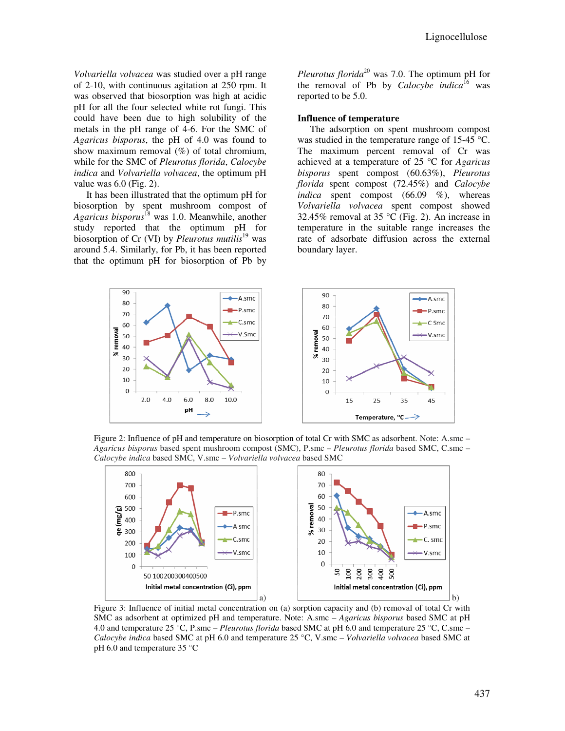*Volvariella volvacea* was studied over a pH range of 2-10, with continuous agitation at 250 rpm. It was observed that biosorption was high at acidic pH for all the four selected white rot fungi. This could have been due to high solubility of the metals in the pH range of 4-6. For the SMC of *Agaricus bisporus*, the pH of 4.0 was found to show maximum removal (%) of total chromium, while for the SMC of *Pleurotus florida*, *Calocybe indica* and *Volvariella volvacea*, the optimum pH value was 6.0 (Fig. 2).

It has been illustrated that the optimum pH for biosorption by spent mushroom compost of *Agaricus bisporus*<sup>18</sup> was 1.0. Meanwhile, another study reported that the optimum pH for biosorption of Cr (VI) by *Pleurotus mutilis*<sup>19</sup> was around 5.4. Similarly, for Pb, it has been reported that the optimum pH for biosorption of Pb by

*Pleurotus florida*<sup>20</sup> was 7.0. The optimum pH for the removal of Pb by *Calocybe indica*<sup>16</sup> was reported to be 5.0.

#### **Influence of temperature**

The adsorption on spent mushroom compost was studied in the temperature range of 15-45 °C. The maximum percent removal of Cr was achieved at a temperature of 25 °C for *Agaricus bisporus* spent compost (60.63%), *Pleurotus florida* spent compost (72.45%) and *Calocybe indica* spent compost (66.09 %), whereas *Volvariella volvacea* spent compost showed 32.45% removal at 35 °C (Fig. 2). An increase in temperature in the suitable range increases the rate of adsorbate diffusion across the external boundary layer.



Figure 2: Influence of pH and temperature on biosorption of total Cr with SMC as adsorbent. Note: A.smc – *Agaricus bisporus* based spent mushroom compost (SMC), P.smc – *Pleurotus florida* based SMC, C.smc – *Calocybe indica* based SMC, V.smc – *Volvariella volvacea* based SMC



Figure 3: Influence of initial metal concentration on (a) sorption capacity and (b) removal of total Cr with SMC as adsorbent at optimized pH and temperature. Note: A.smc – *Agaricus bisporus* based SMC at pH 4.0 and temperature 25 °C, P.smc – *Pleurotus florida* based SMC at pH 6.0 and temperature 25 °C, C.smc – *Calocybe indica* based SMC at pH 6.0 and temperature 25 °C, V.smc – *Volvariella volvacea* based SMC at pH 6.0 and temperature 35 °C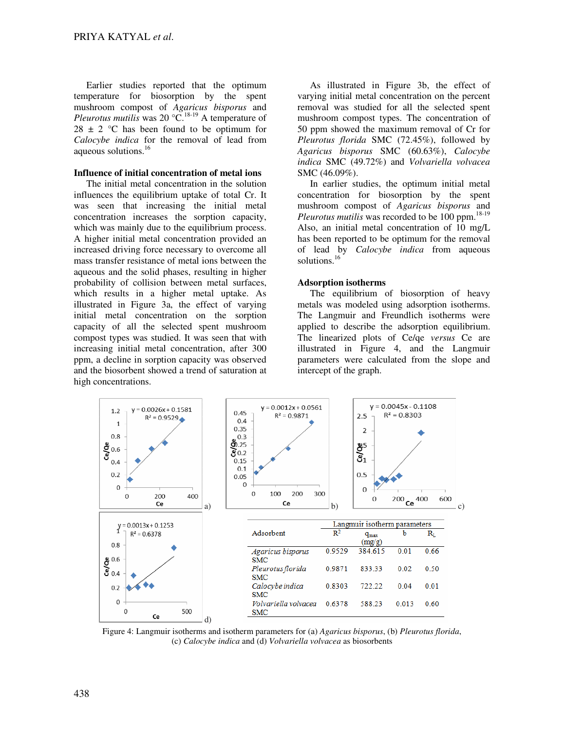Earlier studies reported that the optimum temperature for biosorption by the spent mushroom compost of *Agaricus bisporus* and *Pleurotus mutilis* was 20 °C.<sup>18-19</sup> A temperature of  $28 \pm 2$  °C has been found to be optimum for *Calocybe indica* for the removal of lead from aqueous solutions.<sup>16</sup>

## **Influence of initial concentration of metal ions**

The initial metal concentration in the solution influences the equilibrium uptake of total Cr. It was seen that increasing the initial metal concentration increases the sorption capacity, which was mainly due to the equilibrium process. A higher initial metal concentration provided an increased driving force necessary to overcome all mass transfer resistance of metal ions between the aqueous and the solid phases, resulting in higher probability of collision between metal surfaces, which results in a higher metal uptake. As illustrated in Figure 3a, the effect of varying initial metal concentration on the sorption capacity of all the selected spent mushroom compost types was studied. It was seen that with increasing initial metal concentration, after 300 ppm, a decline in sorption capacity was observed and the biosorbent showed a trend of saturation at high concentrations.

As illustrated in Figure 3b, the effect of varying initial metal concentration on the percent removal was studied for all the selected spent mushroom compost types. The concentration of 50 ppm showed the maximum removal of Cr for *Pleurotus florida* SMC (72.45%), followed by *Agaricus bisporus* SMC (60.63%), *Calocybe indica* SMC (49.72%) and *Volvariella volvacea* SMC (46.09%).

In earlier studies, the optimum initial metal concentration for biosorption by the spent mushroom compost of *Agaricus bisporus* and *Pleurotus mutilis* was recorded to be 100 ppm.<sup>18-19</sup> Also, an initial metal concentration of 10 mg/L has been reported to be optimum for the removal of lead by *Calocybe indica* from aqueous solutions.<sup>16</sup>

## **Adsorption isotherms**

The equilibrium of biosorption of heavy metals was modeled using adsorption isotherms. The Langmuir and Freundlich isotherms were applied to describe the adsorption equilibrium. The linearized plots of Ce/qe *versus* Ce are illustrated in Figure 4, and the Langmuir parameters were calculated from the slope and intercept of the graph.



Figure 4: Langmuir isotherms and isotherm parameters for (a) *Agaricus bisporus*, (b) *Pleurotus florida*, (c) *Calocybe indica* and (d) *Volvariella volvacea* as biosorbents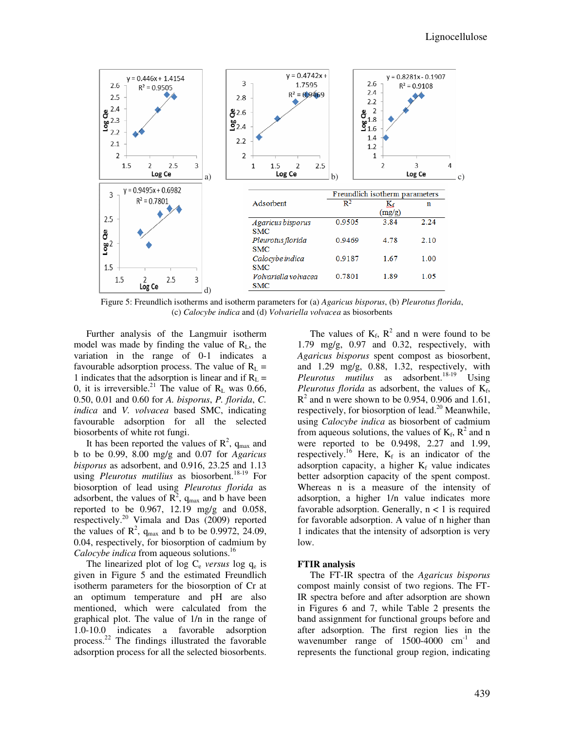

Figure 5: Freundlich isotherms and isotherm parameters for (a) *Agaricus bisporus*, (b) *Pleurotus florida*, (c) *Calocybe indica* and (d) *Volvariella volvacea* as biosorbents

Further analysis of the Langmuir isotherm model was made by finding the value of  $R_L$ , the variation in the range of 0-1 indicates a favourable adsorption process. The value of  $R_L$  = 1 indicates that the adsorption is linear and if  $R_L$  = 0, it is irreversible.<sup>21</sup> The value of  $R_L$  was 0.66, 0.50, 0.01 and 0.60 for *A. bisporus*, *P. florida*, *C. indica* and *V. volvacea* based SMC, indicating favourable adsorption for all the selected biosorbents of white rot fungi.

It has been reported the values of  $R^2$ ,  $q_{max}$  and b to be 0.99, 8.00 mg/g and 0.07 for *Agaricus bisporus* as adsorbent, and 0.916, 23.25 and 1.13 using *Pleurotus mutilius* as biosorbent.<sup>18-19</sup> For biosorption of lead using *Pleurotus florida* as adsorbent, the values of  $\mathbb{R}^2$ ,  $q_{\text{max}}$  and b have been reported to be 0.967, 12.19 mg/g and 0.058, respectively.<sup>20</sup> Vimala and Das (2009) reported the values of  $\mathbb{R}^2$ ,  $q_{\text{max}}$  and b to be 0.9972, 24.09, 0.04, respectively, for biosorption of cadmium by *Calocybe indica* from aqueous solutions.<sup>16</sup>

The linearized plot of log  $C_e$  *versus* log  $q_e$  is given in Figure 5 and the estimated Freundlich isotherm parameters for the biosorption of Cr at an optimum temperature and pH are also mentioned, which were calculated from the graphical plot. The value of 1/n in the range of 1.0-10.0 indicates a favorable adsorption process.<sup>22</sup> The findings illustrated the favorable adsorption process for all the selected biosorbents.

The values of  $K_f$ ,  $R^2$  and n were found to be 1.79 mg/g, 0.97 and 0.32, respectively, with *Agaricus bisporus* spent compost as biosorbent, and 1.29 mg/g, 0.88, 1.32, respectively, with *Pleurotus mutilus* as adsorbent.<sup>18-19</sup> Using *Pleurotus florida* as adsorbent, the values of  $K_f$ ,  $R<sup>2</sup>$  and n were shown to be 0.954, 0.906 and 1.61, respectively, for biosorption of lead.<sup>20</sup> Meanwhile, using *Calocybe indica* as biosorbent of cadmium from aqueous solutions, the values of  $K_f$ ,  $R^2$  and n were reported to be 0.9498, 2.27 and 1.99, respectively.<sup>16</sup> Here,  $K_f$  is an indicator of the adsorption capacity, a higher  $K_f$  value indicates better adsorption capacity of the spent compost. Whereas n is a measure of the intensity of adsorption, a higher 1/n value indicates more favorable adsorption. Generally,  $n < 1$  is required for favorable adsorption. A value of n higher than 1 indicates that the intensity of adsorption is very low.

## **FTIR analysis**

The FT-IR spectra of the *Agaricus bisporus* compost mainly consist of two regions. The FT-IR spectra before and after adsorption are shown in Figures 6 and 7, while Table 2 presents the band assignment for functional groups before and after adsorption. The first region lies in the wavenumber range of  $1500-4000$  cm<sup>-1</sup> and represents the functional group region, indicating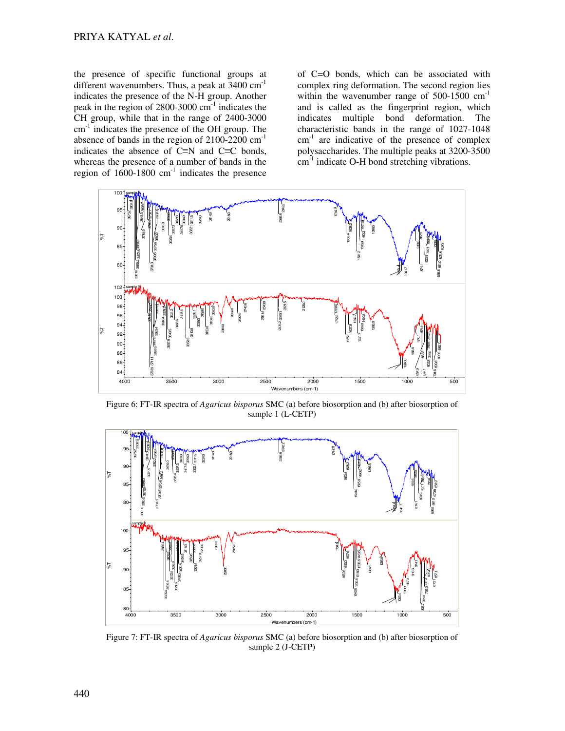the presence of specific functional groups at different wavenumbers. Thus, a peak at  $3400 \text{ cm}^{-1}$ indicates the presence of the N-H group. Another peak in the region of  $2800-3000$  cm<sup>-1</sup> indicates the CH group, while that in the range of 2400-3000 cm<sup>-1</sup> indicates the presence of the OH group. The absence of bands in the region of  $2100-2200$  cm<sup>-1</sup> indicates the absence of C≡N and C≡C bonds, whereas the presence of a number of bands in the region of  $1600-1800$  cm<sup>-1</sup> indicates the presence

of C=O bonds, which can be associated with complex ring deformation. The second region lies within the wavenumber range of  $500-1500$   $cm^{-1}$ and is called as the fingerprint region, which indicates multiple bond deformation. The characteristic bands in the range of 1027-1048 cm<sup>-1</sup> are indicative of the presence of complex polysaccharides. The multiple peaks at 3200-3500  $cm<sup>-1</sup>$  indicate O-H bond stretching vibrations.



Figure 6: FT-IR spectra of *Agaricus bisporus* SMC (a) before biosorption and (b) after biosorption of sample 1 (L-CETP)



Figure 7: FT-IR spectra of *Agaricus bisporus* SMC (a) before biosorption and (b) after biosorption of sample 2 (J-CETP)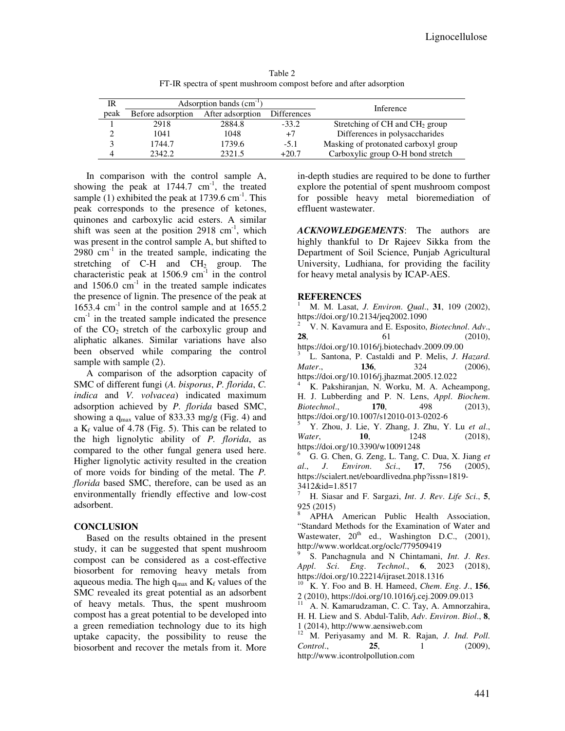Table 2 FT-IR spectra of spent mushroom compost before and after adsorption

| IR   | Adsorption bands $(cm-1)$ |                  |                    | Inference                                  |
|------|---------------------------|------------------|--------------------|--------------------------------------------|
| peak | Before adsorption         | After adsorption | <b>Differences</b> |                                            |
|      | 2918                      | 2884.8           | $-33.2$            | Stretching of CH and CH <sub>2</sub> group |
|      | 1041                      | 1048             | $+7$               | Differences in polysaccharides             |
|      | 1744.7                    | 1739.6           | $-5.1$             | Masking of protonated carboxyl group       |
|      | 2342.2                    | 2321.5           | $+20.7$            | Carboxylic group O-H bond stretch          |

In comparison with the control sample A, showing the peak at  $1744.7 \text{ cm}^{-1}$ , the treated sample (1) exhibited the peak at  $1739.6 \text{ cm}^{-1}$ . This peak corresponds to the presence of ketones, quinones and carboxylic acid esters. A similar shift was seen at the position  $2918 \text{ cm}^{-1}$ , which was present in the control sample A, but shifted to  $2980 \text{ cm}^{-1}$  in the treated sample, indicating the stretching of C-H and  $CH<sub>2</sub>$  group. The characteristic peak at  $1506.9 \text{ cm}^{-1}$  in the control and  $1506.0$  cm<sup>-1</sup> in the treated sample indicates the presence of lignin. The presence of the peak at  $1653.4$  cm<sup>-1</sup> in the control sample and at  $1655.2$  $cm<sup>-1</sup>$  in the treated sample indicated the presence of the  $CO<sub>2</sub>$  stretch of the carboxylic group and aliphatic alkanes. Similar variations have also been observed while comparing the control sample with sample (2).

A comparison of the adsorption capacity of SMC of different fungi (*A. bisporus*, *P. florida*, *C. indica* and *V. volvacea*) indicated maximum adsorption achieved by *P. florida* based SMC, showing a  $q_{max}$  value of 833.33 mg/g (Fig. 4) and a  $K_f$  value of 4.78 (Fig. 5). This can be related to the high lignolytic ability of *P. florida*, as compared to the other fungal genera used here. Higher lignolytic activity resulted in the creation of more voids for binding of the metal. The *P. florida* based SMC, therefore, can be used as an environmentally friendly effective and low-cost adsorbent.

## **CONCLUSION**

Based on the results obtained in the present study, it can be suggested that spent mushroom compost can be considered as a cost-effective biosorbent for removing heavy metals from aqueous media. The high  $q_{max}$  and  $K_f$  values of the SMC revealed its great potential as an adsorbent of heavy metals. Thus, the spent mushroom compost has a great potential to be developed into a green remediation technology due to its high uptake capacity, the possibility to reuse the biosorbent and recover the metals from it. More

in-depth studies are required to be done to further explore the potential of spent mushroom compost for possible heavy metal bioremediation of effluent wastewater.

*ACKNOWLEDGEMENTS*: The authors are highly thankful to Dr Rajeev Sikka from the Department of Soil Science, Punjab Agricultural University, Ludhiana, for providing the facility for heavy metal analysis by ICAP-AES.

## **REFERENCES**

<sup>1</sup> M. M. Lasat, *J*. *Environ*. *Qual*., **31**, 109 (2002), https://doi.org/10.2134/jeq2002.1090

<sup>2</sup> V. N. Kavamura and E. Esposito, *Biotechnol*. *Adv*., **28**, 61 (2010), https://doi.org/10.1016/j.biotechadv.2009.09.00 3 L. Santona, P. Castaldi and P. Melis, *J*. *Hazard*.

*Mater*., **136**, 324 (2006), https://doi.org/10.1016/j.jhazmat.2005.12.022

<sup>4</sup> K. Pakshiranjan, N. Worku, M. A. Acheampong, H. J. Lubberding and P. N. Lens, *Appl*. *Biochem*. *Biotechnol*., **170**, 498 (2013), https://doi.org/10.1007/s12010-013-0202-6

<sup>5</sup> Y. Zhou, J. Lie, Y. Zhang, J. Zhu, Y. Lu *et al*., *Water*, **10**, 1248 (2018), https://doi.org/10.3390/w10091248

<sup>6</sup> G. G. Chen, G. Zeng, L. Tang, C. Dua, X. Jiang *et al*., *J*. *Environ*. *Sci*., **17**, 756 (2005), https://scialert.net/eboardlivedna.php?issn=1819- 3412&id=1.8517

<sup>7</sup> H. Siasar and F. Sargazi, *Int*. *J*. *Rev*. *Life Sci*., **5**, 925 (2015)

<sup>8</sup> APHA American Public Health Association, "Standard Methods for the Examination of Water and Wastewater, 20<sup>th</sup> ed., Washington D.C., (2001), http://www.worldcat.org/oclc/779509419

9 S. Panchagnula and N Chintamani, *Int*. *J*. *Res*. *Appl*. *Sci*. *Eng*. *Technol*., **6**, 2023 (2018), https://doi.org/10.22214/ijraset.2018.1316

<sup>10</sup> K. Y. Foo and B. H. Hameed, *Chem*. *Eng*. *J*., **156**, 2 (2010), https://doi.org/10.1016/j.cej.2009.09.013

A. N. Kamarudzaman, C. C. Tay, A. Amnorzahira, H. H. Liew and S. Abdul-Talib, *Adv*. *Environ*. *Biol*., **8**, 1 (2014), http://www.aensiweb.com

<sup>12</sup> M. Periyasamy and M. R. Rajan, *J*. *Ind*. *Poll*. *Control*., **25**, 1 (2009), http://www.icontrolpollution.com